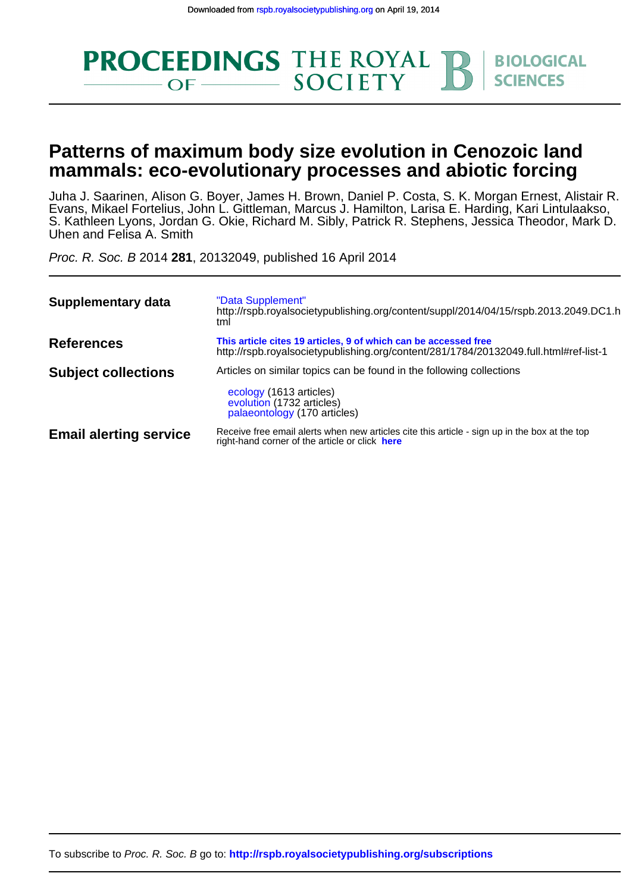

# **mammals: eco-evolutionary processes and abiotic forcing Patterns of maximum body size evolution in Cenozoic land**

Uhen and Felisa A. Smith S. Kathleen Lyons, Jordan G. Okie, Richard M. Sibly, Patrick R. Stephens, Jessica Theodor, Mark D. Evans, Mikael Fortelius, John L. Gittleman, Marcus J. Hamilton, Larisa E. Harding, Kari Lintulaakso, Juha J. Saarinen, Alison G. Boyer, James H. Brown, Daniel P. Costa, S. K. Morgan Ernest, Alistair R.

Proc. R. Soc. B 2014 **281**, 20132049, published 16 April 2014

| <b>Supplementary data</b>     | "Data Supplement"<br>http://rspb.royalsocietypublishing.org/content/suppl/2014/04/15/rspb.2013.2049.DC1.h<br>tml                                             |
|-------------------------------|--------------------------------------------------------------------------------------------------------------------------------------------------------------|
| <b>References</b>             | This article cites 19 articles, 9 of which can be accessed free<br>http://rspb.royalsocietypublishing.org/content/281/1784/20132049.full.html#ref-list-1     |
| <b>Subject collections</b>    | Articles on similar topics can be found in the following collections<br>ecology (1613 articles)<br>evolution (1732 articles)<br>palaeontology (170 articles) |
| <b>Email alerting service</b> | Receive free email alerts when new articles cite this article - sign up in the box at the top<br>right-hand corner of the article or click here              |

To subscribe to Proc. R. Soc. B go to: **<http://rspb.royalsocietypublishing.org/subscriptions>**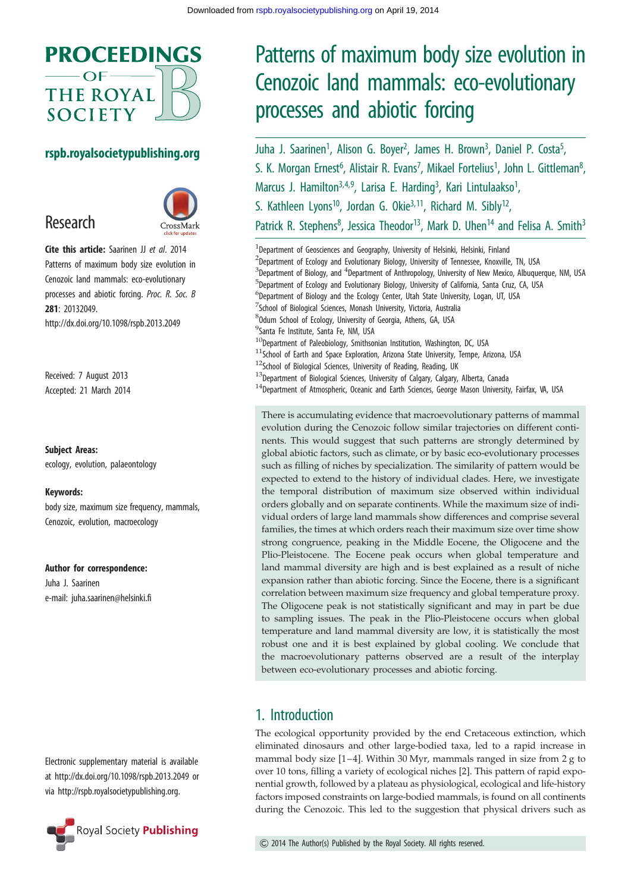

## rspb.royalsocietypublishing.org

# Research



Cite this article: Saarinen JJ et al. 2014 Patterns of maximum body size evolution in Cenozoic land mammals: eco-evolutionary processes and abiotic forcing. Proc. R. Soc. B 281: 20132049. http://dx.doi.org/10.1098/rspb.2013.2049

Received: 7 August 2013 Accepted: 21 March 2014

Subject Areas:

ecology, evolution, palaeontology

#### Keywords:

body size, maximum size frequency, mammals, Cenozoic, evolution, macroecology

#### Author for correspondence:

Juha J. Saarinen e-mail: [juha.saarinen@helsinki.fi](mailto:juha.saarinen@helsinki.fi)

Electronic supplementary material is available at<http://dx.doi.org/10.1098/rspb.2013.2049> or via<http://rspb.royalsocietypublishing.org>.



# Patterns of maximum body size evolution in Cenozoic land mammals: eco-evolutionary processes and abiotic forcing

Juha J. Saarinen<sup>1</sup>, Alison G. Boyer<sup>2</sup>, James H. Brown<sup>3</sup>, Daniel P. Costa<sup>5</sup> , S. K. Morgan Ernest<sup>6</sup>, Alistair R. Evans<sup>7</sup>, Mikael Fortelius<sup>1</sup>, John L. Gittleman<sup>8</sup> , Marcus J. Hamilton<sup>3,4,9</sup>, Larisa E. Harding<sup>3</sup>, Kari Lintulaakso<sup>1</sup> , S. Kathleen Lyons<sup>10</sup>, Jordan G. Okie<sup>3,11</sup>, Richard M. Sibly<sup>12</sup>, Patrick R. Stephens<sup>8</sup>, Jessica Theodor<sup>13</sup>, Mark D. Uhen<sup>14</sup> and Felisa A. Smith<sup>3</sup>

<sup>1</sup>Department of Geosciences and Geography, University of Helsinki, Helsinki, Finland <sup>2</sup>Department of Ecology and Evolutionary Biology, University of Tennessee, Knoxville, TN, USA  $^3$ Department of Biology, and  $^4$ Department of Anthropology, University of New Mexico, Albuquerque, NM, USA Department of Ecology and Evolutionary Biology, University of California, Santa Cruz, CA, USA Department of Biology and the Ecology Center, Utah State University, Logan, UT, USA  $\mathrm{^{7}}$ School of Biological Sciences, Monash University, Victoria, Australia Odum School of Ecology, University of Georgia, Athens, GA, USA Santa Fe Institute, Santa Fe, NM, USA Department of Paleobiology, Smithsonian Institution, Washington, DC, USA School of Earth and Space Exploration, Arizona State University, Tempe, Arizona, USA School of Biological Sciences, University of Reading, Reading, UK Department of Biological Sciences, University of Calgary, Calgary, Alberta, Canada  $^{14}$ Department of Atmospheric, Oceanic and Earth Sciences, George Mason University, Fairfax, VA, USA

There is accumulating evidence that macroevolutionary patterns of mammal evolution during the Cenozoic follow similar trajectories on different continents. This would suggest that such patterns are strongly determined by global abiotic factors, such as climate, or by basic eco-evolutionary processes such as filling of niches by specialization. The similarity of pattern would be expected to extend to the history of individual clades. Here, we investigate the temporal distribution of maximum size observed within individual orders globally and on separate continents. While the maximum size of individual orders of large land mammals show differences and comprise several families, the times at which orders reach their maximum size over time show strong congruence, peaking in the Middle Eocene, the Oligocene and the Plio-Pleistocene. The Eocene peak occurs when global temperature and land mammal diversity are high and is best explained as a result of niche expansion rather than abiotic forcing. Since the Eocene, there is a significant correlation between maximum size frequency and global temperature proxy. The Oligocene peak is not statistically significant and may in part be due to sampling issues. The peak in the Plio-Pleistocene occurs when global temperature and land mammal diversity are low, it is statistically the most robust one and it is best explained by global cooling. We conclude that the macroevolutionary patterns observed are a result of the interplay between eco-evolutionary processes and abiotic forcing.

# 1. Introduction

The ecological opportunity provided by the end Cretaceous extinction, which eliminated dinosaurs and other large-bodied taxa, led to a rapid increase in mammal body size [\[1](#page-9-0)–[4](#page-9-0)]. Within 30 Myr, mammals ranged in size from 2 g to over 10 tons, filling a variety of ecological niches [[2](#page-9-0)]. This pattern of rapid exponential growth, followed by a plateau as physiological, ecological and life-history factors imposed constraints on large-bodied mammals, is found on all continents during the Cenozoic. This led to the suggestion that physical drivers such as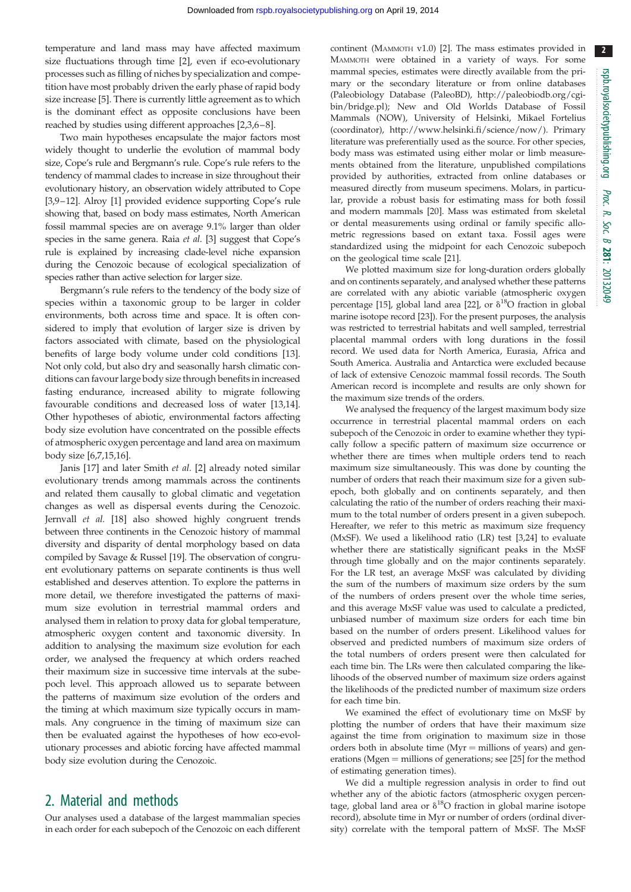temperature and land mass may have affected maximum size fluctuations through time [[2](#page-9-0)], even if eco-evolutionary processes such as filling of niches by specialization and competition have most probably driven the early phase of rapid body size increase [[5](#page-9-0)]. There is currently little agreement as to which is the dominant effect as opposite conclusions have been reached by studies using different approaches [[2,3,6](#page-9-0)–[8](#page-9-0)].

Two main hypotheses encapsulate the major factors most widely thought to underlie the evolution of mammal body size, Cope's rule and Bergmann's rule. Cope's rule refers to the tendency of mammal clades to increase in size throughout their evolutionary history, an observation widely attributed to Cope [\[3,9](#page-9-0)–[12\]](#page-9-0). Alroy [\[1\]](#page-9-0) provided evidence supporting Cope's rule showing that, based on body mass estimates, North American fossil mammal species are on average 9.1% larger than older species in the same genera. Raia et al. [\[3](#page-9-0)] suggest that Cope's rule is explained by increasing clade-level niche expansion during the Cenozoic because of ecological specialization of species rather than active selection for larger size.

Bergmann's rule refers to the tendency of the body size of species within a taxonomic group to be larger in colder environments, both across time and space. It is often considered to imply that evolution of larger size is driven by factors associated with climate, based on the physiological benefits of large body volume under cold conditions [\[13](#page-9-0)]. Not only cold, but also dry and seasonally harsh climatic conditions can favour large body size through benefits in increased fasting endurance, increased ability to migrate following favourable conditions and decreased loss of water [\[13,14](#page-9-0)]. Other hypotheses of abiotic, environmental factors affecting body size evolution have concentrated on the possible effects of atmospheric oxygen percentage and land area on maximum body size [\[6,7,15](#page-9-0),[16](#page-9-0)].

Janis [[17\]](#page-9-0) and later Smith et al. [[2\]](#page-9-0) already noted similar evolutionary trends among mammals across the continents and related them causally to global climatic and vegetation changes as well as dispersal events during the Cenozoic. Jernvall et al. [[18\]](#page-10-0) also showed highly congruent trends between three continents in the Cenozoic history of mammal diversity and disparity of dental morphology based on data compiled by Savage & Russel [\[19](#page-10-0)]. The observation of congruent evolutionary patterns on separate continents is thus well established and deserves attention. To explore the patterns in more detail, we therefore investigated the patterns of maximum size evolution in terrestrial mammal orders and analysed them in relation to proxy data for global temperature, atmospheric oxygen content and taxonomic diversity. In addition to analysing the maximum size evolution for each order, we analysed the frequency at which orders reached their maximum size in successive time intervals at the subepoch level. This approach allowed us to separate between the patterns of maximum size evolution of the orders and the timing at which maximum size typically occurs in mammals. Any congruence in the timing of maximum size can then be evaluated against the hypotheses of how eco-evolutionary processes and abiotic forcing have affected mammal body size evolution during the Cenozoic.

# 2. Material and methods

Our analyses used a database of the largest mammalian species in each order for each subepoch of the Cenozoic on each different continent (MAMMOTH v1.0) [[2](#page-9-0)]. The mass estimates provided in MAMMOTH were obtained in a variety of ways. For some mammal species, estimates were directly available from the primary or the secondary literature or from online databases (Paleobiology Database (PaleoBD), [http://paleobiodb.org/cgi](http://paleobiodb.org/cgi-bin/bridge.pl)[bin/bridge.pl](http://paleobiodb.org/cgi-bin/bridge.pl)); New and Old Worlds Database of Fossil Mammals (NOW), University of Helsinki, Mikael Fortelius (coordinator),<http://www.helsinki.fi/science/now/>). Primary literature was preferentially used as the source. For other species, body mass was estimated using either molar or limb measurements obtained from the literature, unpublished compilations provided by authorities, extracted from online databases or measured directly from museum specimens. Molars, in particular, provide a robust basis for estimating mass for both fossil and modern mammals [[20](#page-10-0)]. Mass was estimated from skeletal or dental measurements using ordinal or family specific allometric regressions based on extant taxa. Fossil ages were standardized using the midpoint for each Cenozoic subepoch on the geological time scale [[21](#page-10-0)].

We plotted maximum size for long-duration orders globally and on continents separately, and analysed whether these patterns are correlated with any abiotic variable (atmospheric oxygen percentage [[15](#page-9-0)], global land area [[22](#page-10-0)], or  $\delta^{18}O$  fraction in global marine isotope record [[23](#page-10-0)]). For the present purposes, the analysis was restricted to terrestrial habitats and well sampled, terrestrial placental mammal orders with long durations in the fossil record. We used data for North America, Eurasia, Africa and South America. Australia and Antarctica were excluded because of lack of extensive Cenozoic mammal fossil records. The South American record is incomplete and results are only shown for the maximum size trends of the orders.

We analysed the frequency of the largest maximum body size occurrence in terrestrial placental mammal orders on each subepoch of the Cenozoic in order to examine whether they typically follow a specific pattern of maximum size occurrence or whether there are times when multiple orders tend to reach maximum size simultaneously. This was done by counting the number of orders that reach their maximum size for a given subepoch, both globally and on continents separately, and then calculating the ratio of the number of orders reaching their maximum to the total number of orders present in a given subepoch. Hereafter, we refer to this metric as maximum size frequency (MxSF). We used a likelihood ratio (LR) test [\[3,](#page-9-0)[24](#page-10-0)] to evaluate whether there are statistically significant peaks in the MxSF through time globally and on the major continents separately. For the LR test, an average MxSF was calculated by dividing the sum of the numbers of maximum size orders by the sum of the numbers of orders present over the whole time series, and this average MxSF value was used to calculate a predicted, unbiased number of maximum size orders for each time bin based on the number of orders present. Likelihood values for observed and predicted numbers of maximum size orders of the total numbers of orders present were then calculated for each time bin. The LRs were then calculated comparing the likelihoods of the observed number of maximum size orders against the likelihoods of the predicted number of maximum size orders for each time bin.

We examined the effect of evolutionary time on MxSF by plotting the number of orders that have their maximum size against the time from origination to maximum size in those orders both in absolute time  $(Myr =$  millions of years) and generations (Mgen  $=$  millions of generations; see [[25](#page-10-0)] for the method of estimating generation times).

We did a multiple regression analysis in order to find out whether any of the abiotic factors (atmospheric oxygen percentage, global land area or  $\delta^{18}O$  fraction in global marine isotope record), absolute time in Myr or number of orders (ordinal diversity) correlate with the temporal pattern of MxSF. The MxSF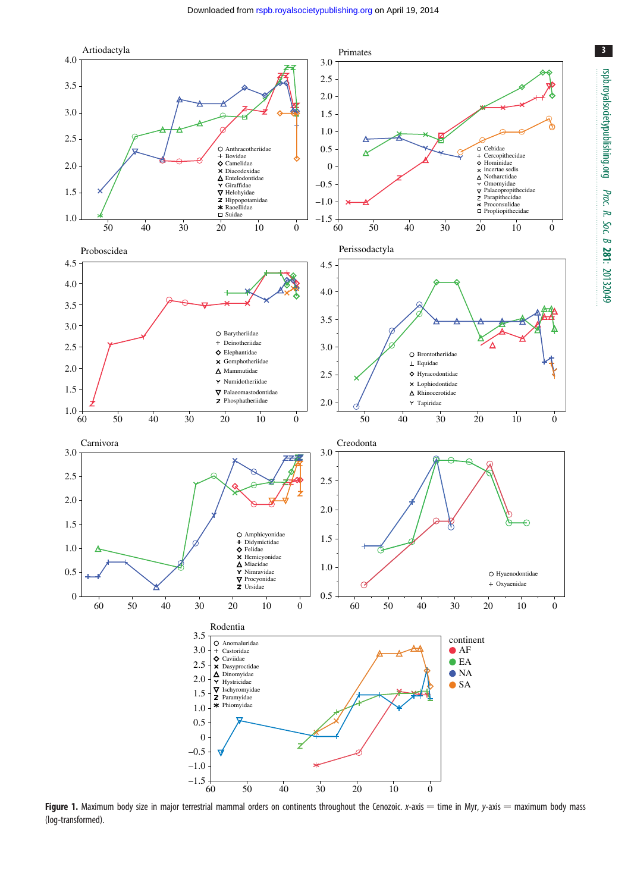<span id="page-3-0"></span>

Figure 1. Maximum body size in major terrestrial mammal orders on continents throughout the Cenozoic. x-axis = time in Myr, y-axis = maximum body mass (log-transformed).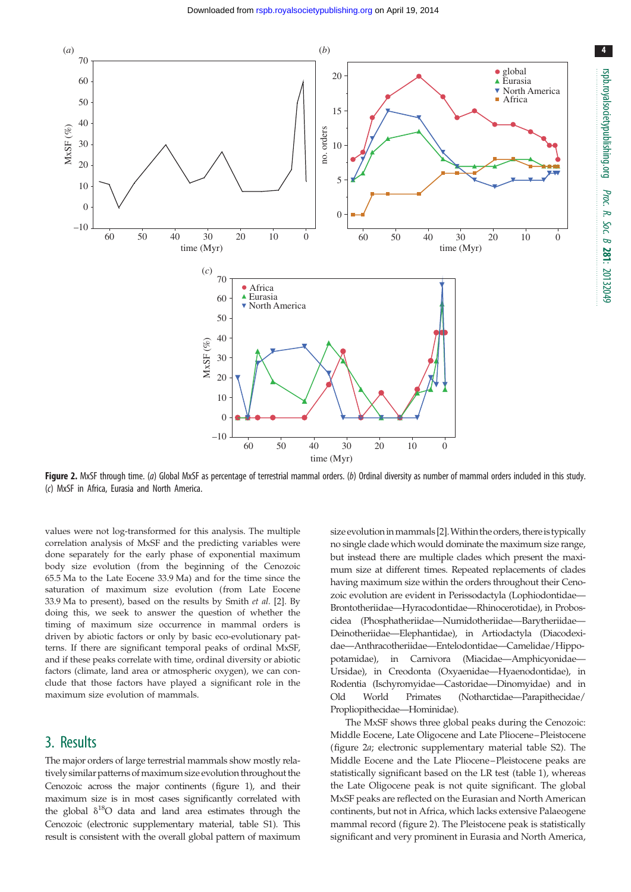<span id="page-4-0"></span>

Figure 2. MxSF through time. (a) Global MxSF as percentage of terrestrial mammal orders. (b) Ordinal diversity as number of mammal orders included in this study. (c) MxSF in Africa, Eurasia and North America.

values were not log-transformed for this analysis. The multiple correlation analysis of MxSF and the predicting variables were done separately for the early phase of exponential maximum body size evolution (from the beginning of the Cenozoic 65.5 Ma to the Late Eocene 33.9 Ma) and for the time since the saturation of maximum size evolution (from Late Eocene 33.9 Ma to present), based on the results by Smith et al. [\[2\]](#page-9-0). By doing this, we seek to answer the question of whether the timing of maximum size occurrence in mammal orders is driven by abiotic factors or only by basic eco-evolutionary patterns. If there are significant temporal peaks of ordinal MxSF, and if these peaks correlate with time, ordinal diversity or abiotic factors (climate, land area or atmospheric oxygen), we can conclude that those factors have played a significant role in the maximum size evolution of mammals.

# 3. Results

The major orders of large terrestrial mammals show mostly relatively similar patterns of maximum size evolution throughout the Cenozoic across the major continents ([figure 1](#page-3-0)), and their maximum size is in most cases significantly correlated with the global  $\delta^{18}O$  data and land area estimates through the Cenozoic (electronic supplementary material, table S1). This result is consistent with the overall global pattern of maximum size evolution in mammals [[2](#page-9-0)]. Within the orders, there is typically no single clade which would dominate the maximum size range, but instead there are multiple clades which present the maximum size at different times. Repeated replacements of clades having maximum size within the orders throughout their Cenozoic evolution are evident in Perissodactyla (Lophiodontidae— Brontotheriidae—Hyracodontidae—Rhinocerotidae), in Proboscidea (Phosphatheriidae—Numidotheriidae—Barytheriidae— Deinotheriidae—Elephantidae), in Artiodactyla (Diacodexidae—Anthracotheriidae—Entelodontidae—Camelidae/Hippopotamidae), in Carnivora (Miacidae—Amphicyonidae— Ursidae), in Creodonta (Oxyaenidae—Hyaenodontidae), in Rodentia (Ischyromyidae—Castoridae—Dinomyidae) and in Old World Primates (Notharctidae—Parapithecidae/ Propliopithecidae—Hominidae).

The MxSF shows three global peaks during the Cenozoic: Middle Eocene, Late Oligocene and Late Pliocene–Pleistocene (figure 2a; electronic supplementary material table S2). The Middle Eocene and the Late Pliocene–Pleistocene peaks are statistically significant based on the LR test ([table 1\)](#page-5-0), whereas the Late Oligocene peak is not quite significant. The global MxSF peaks are reflected on the Eurasian and North American continents, but not in Africa, which lacks extensive Palaeogene mammal record (figure 2). The Pleistocene peak is statistically significant and very prominent in Eurasia and North America,

4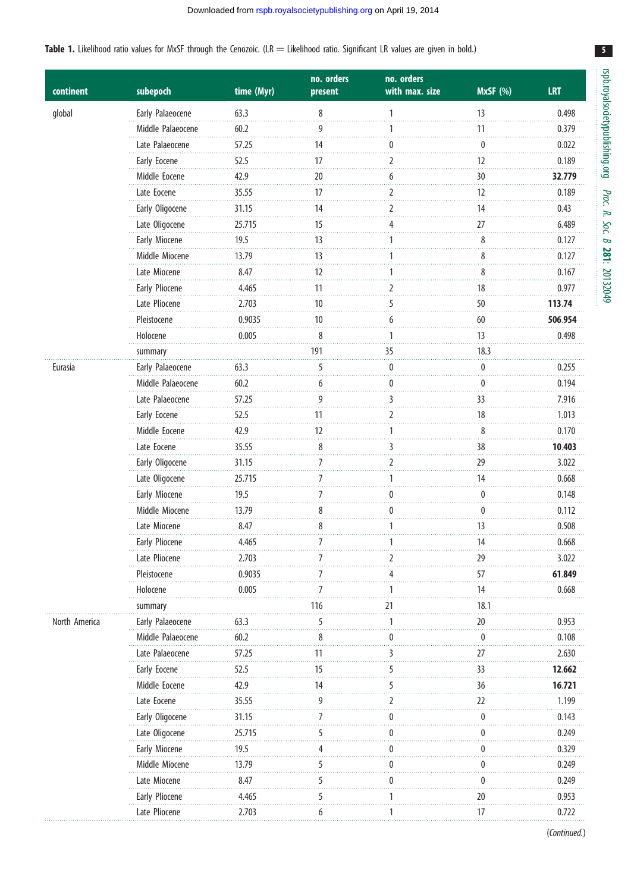<span id="page-5-0"></span>

| <b>Table 1.</b> Likelihood ratio values for MxSF through the Cenozoic. (LR $=$ Likelihood ratio. Significant LR values are given in bold.) |  |  |
|--------------------------------------------------------------------------------------------------------------------------------------------|--|--|
|--------------------------------------------------------------------------------------------------------------------------------------------|--|--|

| continent     | subepoch          | time (Myr) | no. orders<br>present | no. orders<br>with max. size | <b>MxSF (%)</b> | <b>LRT</b> |
|---------------|-------------------|------------|-----------------------|------------------------------|-----------------|------------|
| global        | Early Palaeocene  | 63.3       | 8                     |                              | 13              | 0.498      |
|               | Middle Palaeocene | 60.2       | Q                     |                              | 11              | 0.379      |
|               | Late Palaeocene   | 57.25      | 14                    |                              | 0               | 0.022      |
|               | Early Eocene      | 52.5       | 17                    |                              | 12              | 0.189      |
|               | Middle Eocene     | 42.9       | 20                    |                              | 30              | 32.779     |
|               | Late Eocene       | 35.55      | 17                    |                              | 12              | 0.189      |
|               | Early Oligocene   | 31.15      | 14                    |                              | 14              | 0.43       |
|               | Late Oligocene    | 25.715     | 15                    |                              | 27              | 6.489      |
|               | Early Miocene     | 19.5       | 13                    |                              | 8               | 0.127      |
|               | Middle Miocene    | 13.79      | 13                    |                              | 8               | 0.127      |
|               | Late Miocene      | 8.47       | 12                    |                              | 8               | 0.167      |
|               | Early Pliocene    | 4.465      | 11                    |                              | 18              | 0.977      |
|               | Late Pliocene     | 2.703      | 10                    |                              | 50              | 113.74     |
|               | Pleistocene       | 0.9035     | 10                    |                              | 60              | 506.954    |
|               | Holocene          | 0.005      | 8                     |                              | 13              | 0.498      |
|               | summary           |            | 191                   | 35                           | 18.3            |            |
| Eurasia       | Early Palaeocene  | 63.3       |                       |                              |                 | 0.255      |
|               | Middle Palaeocene | 60.2       |                       |                              | U               | 0.194      |
|               | Late Palaeocene   | 57.25      | g                     |                              | 33              | 7.916      |
|               | Early Eocene      | 52.5       |                       |                              | 18              | 1.013      |
|               | Middle Eocene     | 42.9       | 12                    |                              | 8               | 0.170      |
|               | Late Eocene       | 35.55      | 8                     |                              | 38              | 10.403     |
|               | Early Oligocene   | 31.15      |                       |                              | 29              | 3.022      |
|               | Late Oligocene    | 25.715     |                       |                              | 14              | 0.668      |
|               | Early Miocene     | 19.5       |                       |                              | 0               | 0.148      |
|               | Middle Miocene    | 13.79      |                       |                              | U               | 0.112      |
|               | Late Miocene      | 8.47       | 8                     |                              | 13              | 0.508      |
|               | Early Pliocene    | 4.465      |                       |                              | 14              | 0.668      |
|               | Late Pliocene     | 2.703      |                       |                              | 29              | 3.022      |
|               | Pleistocene       | 0.9035     |                       |                              | 57              | 61.849     |
|               | Holocene          | 0.005      |                       |                              | 14              | 0.668      |
|               | summary           |            | 116                   |                              | 18.1            |            |
| North America | Early Palaeocene  | 63.3       |                       |                              | 20              | 0.953      |
|               | Middle Palaeocene | 60.2       |                       |                              |                 | 0.108      |
|               | Late Palaeocene   | 57.25      |                       |                              | 77              | 2.630      |
|               | Early Eocene      | 52.5       | 15                    |                              | 33              | 12.662     |
|               | Middle Eocene     | 42.9       | 14                    |                              | 36              | 16.721     |
|               | Late Eocene       | 35.55      |                       |                              | 77              | 1.199      |
|               | Early Oligocene   | 31.15      |                       |                              |                 | 0.143      |
|               | Late Oligocene    | 25.715     |                       |                              |                 | 0.249      |
|               | Early Miocene     | 19.5       |                       |                              |                 | 0.329      |
|               | Middle Miocene    | 13.79      |                       |                              |                 | 0.249      |
|               | Late Miocene      | 8.47       |                       |                              |                 | 0.249      |
|               | Early Pliocene    | 4.465      |                       |                              | 20              | 0.953      |
|               | Late Pliocene     | 2.703      | 6                     |                              | 17              | 0.722      |

(Continued.)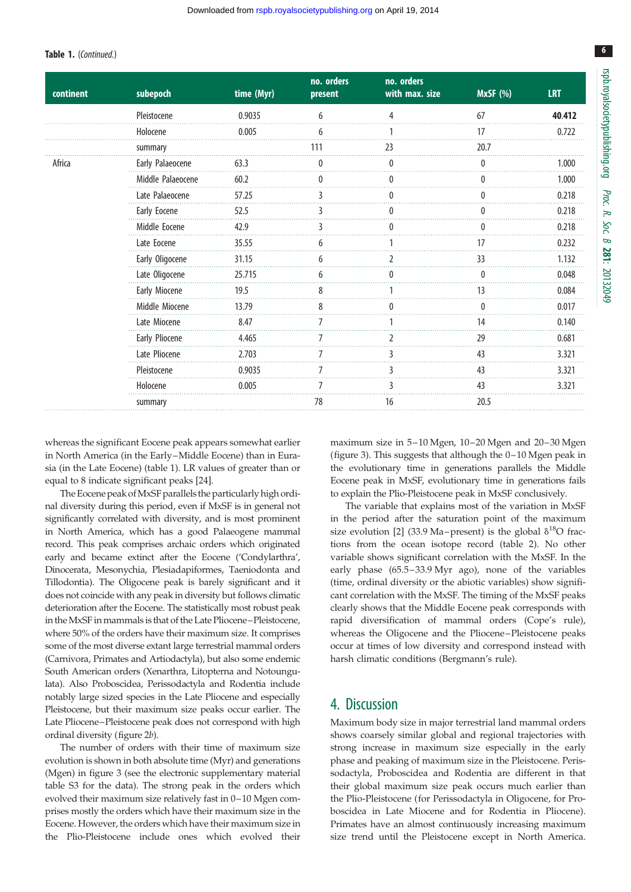### Table 1. (Continued.)

| continent | subepoch          | time (Myr) | no. orders<br>present | no. orders<br>with max. size | <b>MxSF (%)</b> | <b>LRT</b> |
|-----------|-------------------|------------|-----------------------|------------------------------|-----------------|------------|
|           | Pleistocene       | 0.9035     |                       |                              | 67              | 40.412     |
|           | Holocene          | 0.005      |                       |                              | 17              | 0.722      |
|           | summary           |            | 111                   | 23                           | 20.7            |            |
| Africa    | Early Palaeocene  | 63.3       |                       |                              |                 | 1.000      |
|           | Middle Palaeocene | 60.2       |                       |                              |                 | 1.000      |
|           | Late Palaeocene   | 57.25      |                       |                              |                 | 0.218      |
|           | Early Eocene      | 52.5       |                       |                              |                 | 0.218      |
|           | Middle Eocene     | 42.9       |                       |                              |                 | 0.218      |
|           | Late Eocene       | 35.55      |                       |                              | 17              | 0.232      |
|           | Early Oligocene   | 31.15      |                       |                              | 33              | 1.132      |
|           | Late Oligocene    | 25.715     |                       |                              |                 | 0.048      |
|           | Early Miocene     | 19.5       | 8                     |                              | 13              | 0.084      |
|           | Middle Miocene    | 13.79      |                       |                              |                 | 0.017      |
|           | Late Miocene      | 8.47       |                       |                              |                 | 0.140      |
|           | Early Pliocene    | 4.465      |                       |                              | 29              | 0.681      |
|           | Late Pliocene     | 2.703      |                       |                              | 43              | 3.321      |
|           | Pleistocene       | 0.9035     |                       |                              | 43              | 3.321      |
|           | Holocene          | 0.005      |                       |                              |                 | 3.321      |
|           | summary           |            | 78                    | 16                           | 20.5            |            |

whereas the significant Eocene peak appears somewhat earlier in North America (in the Early–Middle Eocene) than in Eurasia (in the Late Eocene) [\(table 1](#page-5-0)). LR values of greater than or equal to 8 indicate significant peaks [\[24](#page-10-0)].

The Eocene peak of MxSF parallels the particularly high ordinal diversity during this period, even if MxSF is in general not significantly correlated with diversity, and is most prominent in North America, which has a good Palaeogene mammal record. This peak comprises archaic orders which originated early and became extinct after the Eocene ('Condylarthra', Dinocerata, Mesonychia, Plesiadapiformes, Taeniodonta and Tillodontia). The Oligocene peak is barely significant and it does not coincide with any peak in diversity but follows climatic deterioration after the Eocene. The statistically most robust peak in the MxSF in mammals is that of the Late Pliocene–Pleistocene, where 50% of the orders have their maximum size. It comprises some of the most diverse extant large terrestrial mammal orders (Carnivora, Primates and Artiodactyla), but also some endemic South American orders (Xenarthra, Litopterna and Notoungulata). Also Proboscidea, Perissodactyla and Rodentia include notably large sized species in the Late Pliocene and especially Pleistocene, but their maximum size peaks occur earlier. The Late Pliocene–Pleistocene peak does not correspond with high ordinal diversity [\(figure 2](#page-4-0)b).

The number of orders with their time of maximum size evolution is shown in both absolute time (Myr) and generations (Mgen) in [figure 3](#page-7-0) (see the electronic supplementary material table S3 for the data). The strong peak in the orders which evolved their maximum size relatively fast in 0–10 Mgen comprises mostly the orders which have their maximum size in the Eocene. However, the orders which have their maximum size in the Plio-Pleistocene include ones which evolved their

maximum size in 5–10 Mgen, 10–20 Mgen and 20–30 Mgen ([figure 3](#page-7-0)). This suggests that although the 0–10 Mgen peak in the evolutionary time in generations parallels the Middle Eocene peak in MxSF, evolutionary time in generations fails to explain the Plio-Pleistocene peak in MxSF conclusively.

The variable that explains most of the variation in MxSF in the period after the saturation point of the maximum size evolution [\[2\]](#page-9-0) (33.9 Ma–present) is the global  $\delta^{18}O$  fractions from the ocean isotope record ([table 2\)](#page-8-0). No other variable shows significant correlation with the MxSF. In the early phase (65.5 –33.9 Myr ago), none of the variables (time, ordinal diversity or the abiotic variables) show significant correlation with the MxSF. The timing of the MxSF peaks clearly shows that the Middle Eocene peak corresponds with rapid diversification of mammal orders (Cope's rule), whereas the Oligocene and the Pliocene –Pleistocene peaks occur at times of low diversity and correspond instead with harsh climatic conditions (Bergmann's rule).

# 4. Discussion

Maximum body size in major terrestrial land mammal orders shows coarsely similar global and regional trajectories with strong increase in maximum size especially in the early phase and peaking of maximum size in the Pleistocene. Perissodactyla, Proboscidea and Rodentia are different in that their global maximum size peak occurs much earlier than the Plio-Pleistocene (for Perissodactyla in Oligocene, for Proboscidea in Late Miocene and for Rodentia in Pliocene). Primates have an almost continuously increasing maximum size trend until the Pleistocene except in North America.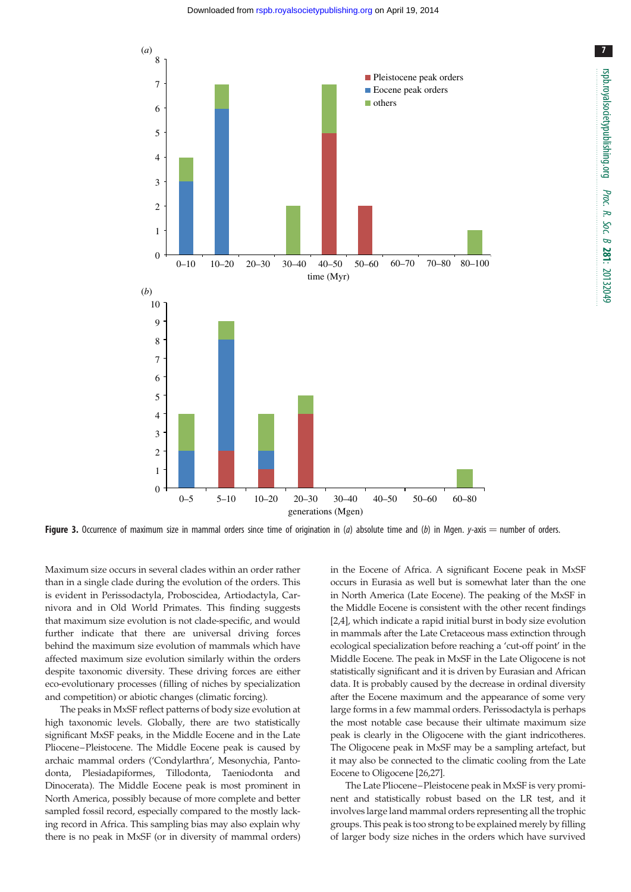<span id="page-7-0"></span>

Figure 3. Occurrence of maximum size in mammal orders since time of origination in (a) absolute time and (b) in Mgen. y-axis = number of orders.

Maximum size occurs in several clades within an order rather than in a single clade during the evolution of the orders. This is evident in Perissodactyla, Proboscidea, Artiodactyla, Carnivora and in Old World Primates. This finding suggests that maximum size evolution is not clade-specific, and would further indicate that there are universal driving forces behind the maximum size evolution of mammals which have affected maximum size evolution similarly within the orders despite taxonomic diversity. These driving forces are either eco-evolutionary processes (filling of niches by specialization and competition) or abiotic changes (climatic forcing).

The peaks in MxSF reflect patterns of body size evolution at high taxonomic levels. Globally, there are two statistically significant MxSF peaks, in the Middle Eocene and in the Late Pliocene–Pleistocene. The Middle Eocene peak is caused by archaic mammal orders ('Condylarthra', Mesonychia, Pantodonta, Plesiadapiformes, Tillodonta, Taeniodonta and Dinocerata). The Middle Eocene peak is most prominent in North America, possibly because of more complete and better sampled fossil record, especially compared to the mostly lacking record in Africa. This sampling bias may also explain why there is no peak in MxSF (or in diversity of mammal orders) in the Eocene of Africa. A significant Eocene peak in MxSF occurs in Eurasia as well but is somewhat later than the one in North America (Late Eocene). The peaking of the MxSF in the Middle Eocene is consistent with the other recent findings [[2,4\]](#page-9-0), which indicate a rapid initial burst in body size evolution in mammals after the Late Cretaceous mass extinction through ecological specialization before reaching a 'cut-off point' in the Middle Eocene. The peak in MxSF in the Late Oligocene is not statistically significant and it is driven by Eurasian and African data. It is probably caused by the decrease in ordinal diversity after the Eocene maximum and the appearance of some very large forms in a few mammal orders. Perissodactyla is perhaps the most notable case because their ultimate maximum size peak is clearly in the Oligocene with the giant indricotheres. The Oligocene peak in MxSF may be a sampling artefact, but it may also be connected to the climatic cooling from the Late Eocene to Oligocene [\[26,27\]](#page-10-0).

The Late Pliocene–Pleistocene peak in MxSF is very prominent and statistically robust based on the LR test, and it involves large land mammal orders representing all the trophic groups. This peak is too strong to be explained merely by filling of larger body size niches in the orders which have survived

7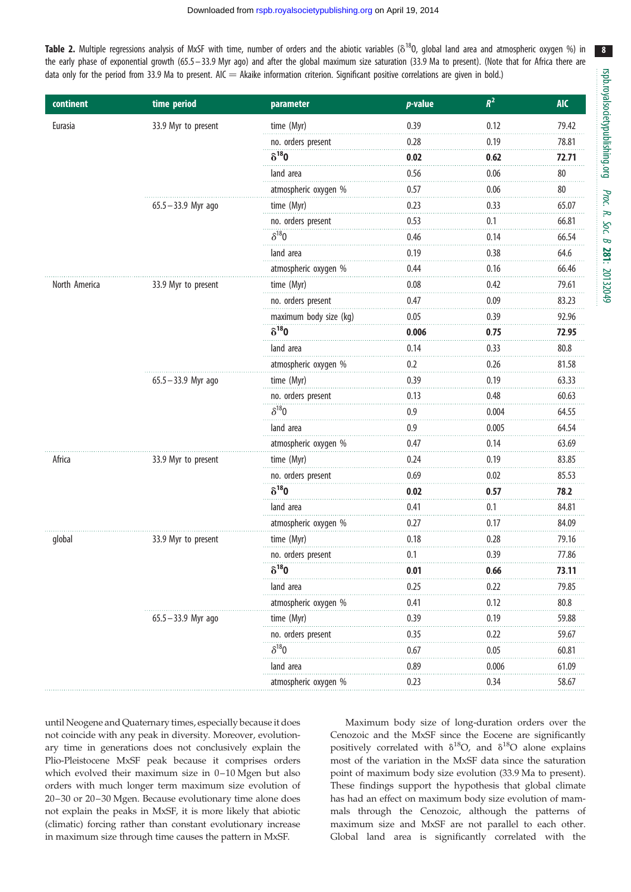<span id="page-8-0"></span>Table 2. Multiple regressions analysis of MxSF with time, number of orders and the abiotic variables ( $\delta^{18}$ O, global land area and atmospheric oxygen %) in the early phase of exponential growth (65.5– 33.9 Myr ago) and after the global maximum size saturation (33.9 Ma to present). (Note that for Africa there are data only for the period from 33.9 Ma to present. AIC  $=$  Akaike information criterion. Significant positive correlations are given in bold.)

| continent     | time period           | parameter              | $p$ -value | $R^2$ | <b>AIC</b> |
|---------------|-----------------------|------------------------|------------|-------|------------|
| Eurasia       | 33.9 Myr to present   | time (Myr)             | 0.39       | 0.12  | 79.42      |
|               |                       | no. orders present     | 0.28       | 0.19  | 78.81      |
|               |                       | $\delta^{18}$ 0        | 0.02       | 0.62  | 72.71      |
|               |                       | land area              | 0.56       | 0.06  | 80         |
|               |                       | atmospheric oxygen %   | 0.57       | 0.06  | 80         |
|               | $65.5 - 33.9$ Myr ago | time (Myr)             | 0.23       | 0.33  | 65.07      |
|               |                       | no. orders present     | 0.53       | 0.1   | 66.81      |
|               |                       | $\delta^{18}0$         | 0.46       | 0.14  | 66.54      |
|               |                       | land area              | 0.19       | 0.38  | 64.6       |
|               |                       | atmospheric oxygen %   | 0.44       | 0.16  | 66.46      |
| North America | 33.9 Myr to present   | time (Myr)             | 0.08       | 0.42  | 79.61      |
|               |                       | no. orders present     | 0.47       | 0.09  | 83.23      |
|               |                       | maximum body size (kg) | 0.05       | 0.39  | 92.96      |
|               |                       | $\delta^{18}0$         | 0.006      | 0.75  | 72.95      |
|               |                       | land area              | 0.14       | 0.33  | 80.8       |
|               |                       | atmospheric oxygen %   | 0.2        | 0.26  | 81.58      |
|               | 65.5-33.9 Myr ago     | time (Myr)             | 0.39       | 0.19  | 63.33      |
|               |                       | no. orders present     | 0.13       | 0.48  | 60.63      |
|               |                       | $\delta^{18}0$         | 0.9        | 0.004 | 64.55      |
|               |                       | land area              | 0.9        | 0.005 | 64.54      |
|               |                       | atmospheric oxygen %   | 0.47       | 0.14  | 63.69      |
| Africa        | 33.9 Myr to present   | time (Myr)             | 0.24       | 0.19  | 83.85      |
|               |                       | no. orders present     | 0.69       | 0.02  | 85.53      |
|               |                       | $\delta^{18}$ 0        | 0.02       | 0.57  | 78.2       |
|               |                       | land area              | 0.41       | 0.1   | 84.81      |
|               |                       | atmospheric oxygen %   | 0.27       | 0.17  | 84.09      |
| global        | 33.9 Myr to present   | time (Myr)             | 0.18       | 0.28  | 79.16      |
|               |                       | no. orders present     | 0.1        | 0.39  | 77.86      |
|               |                       | $\delta^{18}0$         | 0.01       | 0.66  | 73.11      |
|               |                       | land area              | 0.25       | 0.22  | 79.85      |
|               |                       | atmospheric oxygen %   | 0.41       | 0.12  | 80.8       |
|               | $65.5 - 33.9$ Myr ago | time (Myr)             | 0.39       | 0.19  | 59.88      |
|               |                       | no. orders present     | 0.35       | 0.22  | 59.67      |
|               |                       | $\delta^{18}0$         | 0.67       | 0.05  | 60.81      |
|               |                       | land area              | 0.89       | 0.006 | 61.09      |
|               |                       | atmospheric oxygen %   | 0.23       | 0.34  | 58.67      |

until Neogene and Quaternary times, especially because it does not coincide with any peak in diversity. Moreover, evolutionary time in generations does not conclusively explain the Plio-Pleistocene MxSF peak because it comprises orders which evolved their maximum size in 0–10 Mgen but also orders with much longer term maximum size evolution of 20–30 or 20–30 Mgen. Because evolutionary time alone does not explain the peaks in MxSF, it is more likely that abiotic (climatic) forcing rather than constant evolutionary increase in maximum size through time causes the pattern in MxSF.

Maximum body size of long-duration orders over the Cenozoic and the MxSF since the Eocene are significantly positively correlated with  $\delta^{18}O$ , and  $\delta^{18}O$  alone explains most of the variation in the MxSF data since the saturation point of maximum body size evolution (33.9 Ma to present). These findings support the hypothesis that global climate has had an effect on maximum body size evolution of mammals through the Cenozoic, although the patterns of maximum size and MxSF are not parallel to each other. Global land area is significantly correlated with the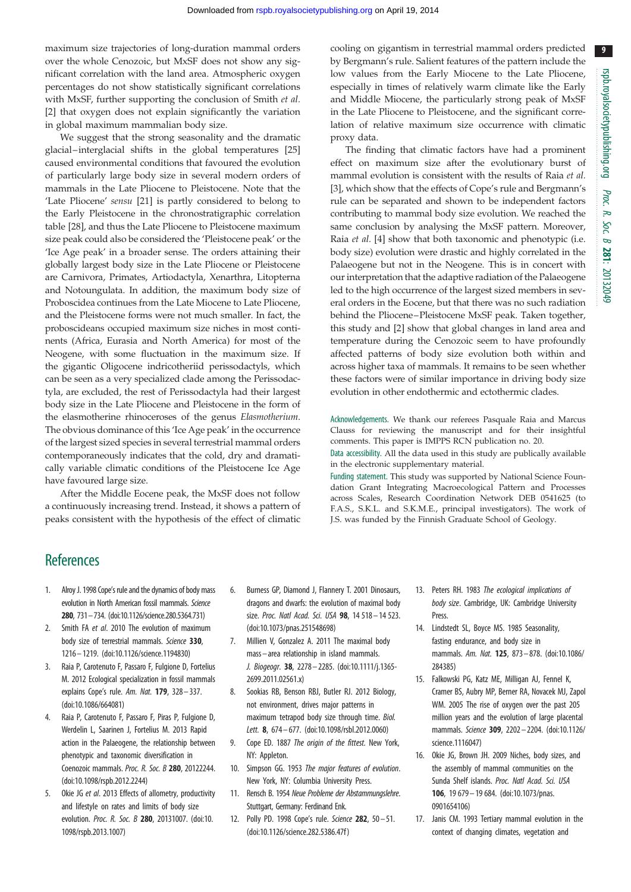<span id="page-9-0"></span>maximum size trajectories of long-duration mammal orders over the whole Cenozoic, but MxSF does not show any significant correlation with the land area. Atmospheric oxygen percentages do not show statistically significant correlations with MxSF, further supporting the conclusion of Smith et al. [2] that oxygen does not explain significantly the variation in global maximum mammalian body size.

We suggest that the strong seasonality and the dramatic glacial –interglacial shifts in the global temperatures [[25\]](#page-10-0) caused environmental conditions that favoured the evolution of particularly large body size in several modern orders of mammals in the Late Pliocene to Pleistocene. Note that the 'Late Pliocene' sensu [\[21](#page-10-0)] is partly considered to belong to the Early Pleistocene in the chronostratigraphic correlation table [\[28](#page-10-0)], and thus the Late Pliocene to Pleistocene maximum size peak could also be considered the 'Pleistocene peak' or the 'Ice Age peak' in a broader sense. The orders attaining their globally largest body size in the Late Pliocene or Pleistocene are Carnivora, Primates, Artiodactyla, Xenarthra, Litopterna and Notoungulata. In addition, the maximum body size of Proboscidea continues from the Late Miocene to Late Pliocene, and the Pleistocene forms were not much smaller. In fact, the proboscideans occupied maximum size niches in most continents (Africa, Eurasia and North America) for most of the Neogene, with some fluctuation in the maximum size. If the gigantic Oligocene indricotheriid perissodactyls, which can be seen as a very specialized clade among the Perissodactyla, are excluded, the rest of Perissodactyla had their largest body size in the Late Pliocene and Pleistocene in the form of the elasmotherine rhinoceroses of the genus Elasmotherium. The obvious dominance of this 'Ice Age peak' in the occurrence of the largest sized species in several terrestrial mammal orders contemporaneously indicates that the cold, dry and dramatically variable climatic conditions of the Pleistocene Ice Age have favoured large size.

After the Middle Eocene peak, the MxSF does not follow a continuously increasing trend. Instead, it shows a pattern of peaks consistent with the hypothesis of the effect of climatic cooling on gigantism in terrestrial mammal orders predicted by Bergmann's rule. Salient features of the pattern include the low values from the Early Miocene to the Late Pliocene, especially in times of relatively warm climate like the Early and Middle Miocene, the particularly strong peak of MxSF in the Late Pliocene to Pleistocene, and the significant correlation of relative maximum size occurrence with climatic proxy data.

The finding that climatic factors have had a prominent effect on maximum size after the evolutionary burst of mammal evolution is consistent with the results of Raia et al. [3], which show that the effects of Cope's rule and Bergmann's rule can be separated and shown to be independent factors contributing to mammal body size evolution. We reached the same conclusion by analysing the MxSF pattern. Moreover, Raia et al. [4] show that both taxonomic and phenotypic (i.e. body size) evolution were drastic and highly correlated in the Palaeogene but not in the Neogene. This is in concert with our interpretation that the adaptive radiation of the Palaeogene led to the high occurrence of the largest sized members in several orders in the Eocene, but that there was no such radiation behind the Pliocene–Pleistocene MxSF peak. Taken together, this study and [2] show that global changes in land area and temperature during the Cenozoic seem to have profoundly affected patterns of body size evolution both within and across higher taxa of mammals. It remains to be seen whether these factors were of similar importance in driving body size evolution in other endothermic and ectothermic clades.

Acknowledgements. We thank our referees Pasquale Raia and Marcus Clauss for reviewing the manuscript and for their insightful comments. This paper is IMPPS RCN publication no. 20.

Data accessibility. All the data used in this study are publically available in the electronic supplementary material.

Funding statement. This study was supported by National Science Foundation Grant Integrating Macroecological Pattern and Processes across Scales, Research Coordination Network DEB 0541625 (to F.A.S., S.K.L. and S.K.M.E., principal investigators). The work of J.S. was funded by the Finnish Graduate School of Geology.

# **References**

- 1. Alroy J. 1998 Cope's rule and the dynamics of body mass evolution in North American fossil mammals. Science 280, 731–734. [\(doi:10.1126/science.280.5364.731](http://dx.doi.org/10.1126/science.280.5364.731))
- 2. Smith FA et al. 2010 The evolution of maximum body size of terrestrial mammals. Science 330, 1216 – 1219. [\(doi:10.1126/science.1194830](http://dx.doi.org/10.1126/science.1194830))
- 3. Raia P, Carotenuto F, Passaro F, Fulgione D, Fortelius M. 2012 Ecological specialization in fossil mammals explains Cope's rule. Am. Nat. 179, 328-337. [\(doi:10.1086/664081](http://dx.doi.org/10.1086/664081))
- 4. Raia P, Carotenuto F, Passaro F, Piras P, Fulgione D, Werdelin L, Saarinen J, Fortelius M. 2013 Rapid action in the Palaeogene, the relationship between phenotypic and taxonomic diversification in Coenozoic mammals. Proc. R. Soc. B 280, 20122244. [\(doi:10.1098/rspb.2012.2244](http://dx.doi.org/10.1098/rspb.2012.2244))
- 5. Okie JG et al. 2013 Effects of allometry, productivity and lifestyle on rates and limits of body size evolution. Proc. R. Soc. B 280, 20131007. [\(doi:10.](http://dx.doi.org/10.1098/rspb.2013.1007) [1098/rspb.2013.1007](http://dx.doi.org/10.1098/rspb.2013.1007))
- 6. Burness GP, Diamond J, Flannery T. 2001 Dinosaurs, dragons and dwarfs: the evolution of maximal body size. Proc. Natl Acad. Sci. USA 98, 14 518 - 14 523. [\(doi:10.1073/pnas.251548698\)](http://dx.doi.org/10.1073/pnas.251548698)
- 7. Millien V, Gonzalez A. 2011 The maximal body mass – area relationship in island mammals. J. Biogeogr. 38, 2278– 2285. ([doi:10.1111/j.1365-](http://dx.doi.org/10.1111/j.1365-2699.2011.02561.x) [2699.2011.02561.x\)](http://dx.doi.org/10.1111/j.1365-2699.2011.02561.x)
- 8. Sookias RB, Benson RBJ, Butler RJ. 2012 Biology, not environment, drives major patterns in maximum tetrapod body size through time. Biol. Lett. 8, 674– 677. ([doi:10.1098/rsbl.2012.0060](http://dx.doi.org/10.1098/rsbl.2012.0060))
- 9. Cope ED. 1887 The origin of the fittest. New York, NY: Appleton.
- 10. Simpson GG. 1953 The major features of evolution. New York, NY: Columbia University Press.
- 11. Rensch B. 1954 Neue Probleme der Abstammungslehre. Stuttgart, Germany: Ferdinand Enk.
- 12. Polly PD. 1998 Cope's rule. Science 282, 50-51. [\(doi:10.1126/science.282.5386.47f](http://dx.doi.org/10.1126/science.282.5386.47f))
- 13. Peters RH. 1983 The ecological implications of body size. Cambridge, UK: Cambridge University Press.
- 14. Lindstedt SL, Boyce MS. 1985 Seasonality, fasting endurance, and body size in mammals. Am. Nat. 125, 873– 878. ([doi:10.1086/](http://dx.doi.org/10.1086/284385) [284385\)](http://dx.doi.org/10.1086/284385)
- 15. Falkowski PG, Katz ME, Milligan AJ, Fennel K, Cramer BS, Aubry MP, Berner RA, Novacek MJ, Zapol WM. 2005 The rise of oxygen over the past 205 million years and the evolution of large placental mammals. Science 309, 2202– 2204. ([doi:10.1126/](http://dx.doi.org/10.1126/science.1116047) [science.1116047](http://dx.doi.org/10.1126/science.1116047))
- 16. Okie JG, Brown JH. 2009 Niches, body sizes, and the assembly of mammal communities on the Sunda Shelf islands. Proc. Natl Acad. Sci. USA 106, 19 679 – 19 684. [\(doi:10.1073/pnas.](http://dx.doi.org/10.1073/pnas.0901654106) [0901654106](http://dx.doi.org/10.1073/pnas.0901654106))
- 17. Janis CM. 1993 Tertiary mammal evolution in the context of changing climates, vegetation and